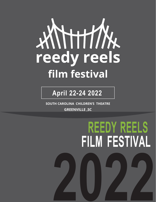

#### **April 22-24 2022**

**SOUTH CAROLINA CHILDREN'S THEATRE GREENVILLE ,SC**

# **2022 REEDY REELS FILM FESTIVAL**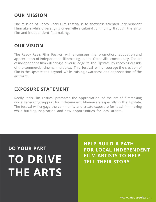#### **OUR MISSION**

The mission of Reedy Reels Film Festival is to showcase talented independent filmmakers while diversifying Greenville's cultural community through the artof film and independent filmmaking.

#### **OUR VISION**

The Reedy Reels Film Festival will encourage the promotion, education and appreciation of independent filmmaking in the Greenville community. The art of independent film will bring a diverse edge to the Upstate by reaching outside of the commercial cinema multiplex. This festival will encourage the creation of film in the Upstate and beyond while raising awareness and appreciation of the art form.

#### **EXPOSURE STATEMENT**

Reedy Reels Film Festival promotes the appreciation of the art of filmmaking while generating support for independent filmmakers especially in the Upstate. The festival will engage the community and create exposure for local filmmaking while building inspiration and new opportunities for local artists.

### **DO YOUR PART TO DRIVE THE ARTS**

**HELP BUILD A PATH FOR LOCAL INDEPENDENT FILM ARTISTS TO HELP TELL THEIR STORY**

www.reedyreels.com